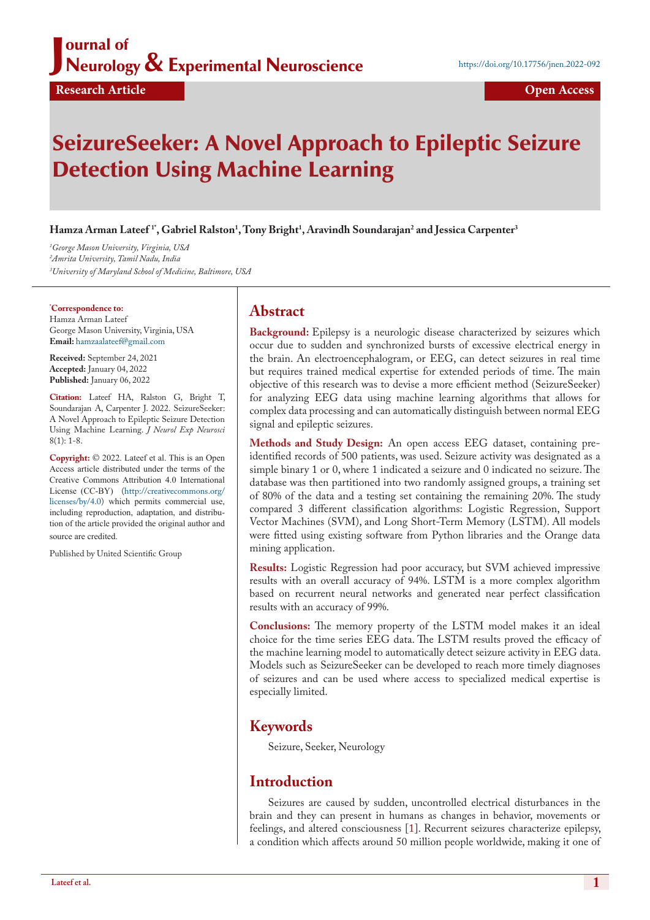### J ournal of Neurology & Experimental Neuroscience

# SeizureSeeker: A Novel Approach to Epileptic Seizure Detection Using Machine Learning

**Hamza Arman Lateef 1\*, Gabriel Ralston1 , Tony Bright1 , Aravindh Soundarajan2 and Jessica Carpenter3**

*1 George Mason University, Virginia, USA 2 Amrita University, Tamil Nadu, India 3 University of Maryland School of Medicine, Baltimore, USA*

**\* Correspondence to:** Hamza Arman Lateef George Mason University, Virginia, USA **Email:** <hamzaalateef@gmail.com>

**Received:** September 24, 2021 **Accepted:** January 04, 2022 **Published:** January 06, 2022

**Citation:** Lateef HA, Ralston G, Bright T, Soundarajan A, Carpenter J. 2022. SeizureSeeker: A Novel Approach to Epileptic Seizure Detection Using Machine Learning. *J Neurol Exp Neurosci*  8(1): 1-8.

**Copyright:** © 2022. Lateef et al. This is an Open Access article distributed under the terms of the Creative Commons Attribution 4.0 International License (CC-BY) ([http://creativecommons.org/](http://creativecommons.org/licenses/by/4.0) [licenses/by/4.0\)](http://creativecommons.org/licenses/by/4.0) which permits commercial use, including reproduction, adaptation, and distribution of the article provided the original author and source are credited.

Published by United Scientific Group

## **Abstract**

**Background:** Epilepsy is a neurologic disease characterized by seizures which occur due to sudden and synchronized bursts of excessive electrical energy in the brain. An electroencephalogram, or EEG, can detect seizures in real time but requires trained medical expertise for extended periods of time. The main objective of this research was to devise a more efficient method (SeizureSeeker) for analyzing EEG data using machine learning algorithms that allows for complex data processing and can automatically distinguish between normal EEG signal and epileptic seizures.

**Methods and Study Design:** An open access EEG dataset, containing preidentified records of 500 patients, was used. Seizure activity was designated as a simple binary 1 or 0, where 1 indicated a seizure and 0 indicated no seizure. The database was then partitioned into two randomly assigned groups, a training set of 80% of the data and a testing set containing the remaining 20%. The study compared 3 different classification algorithms: Logistic Regression, Support Vector Machines (SVM), and Long Short-Term Memory (LSTM). All models were fitted using existing software from Python libraries and the Orange data mining application.

**Results:** Logistic Regression had poor accuracy, but SVM achieved impressive results with an overall accuracy of 94%. LSTM is a more complex algorithm based on recurrent neural networks and generated near perfect classification results with an accuracy of 99%.

**Conclusions:** The memory property of the LSTM model makes it an ideal choice for the time series EEG data. The LSTM results proved the efficacy of the machine learning model to automatically detect seizure activity in EEG data. Models such as SeizureSeeker can be developed to reach more timely diagnoses of seizures and can be used where access to specialized medical expertise is especially limited.

# **Keywords**

Seizure, Seeker, Neurology

### **Introduction**

Seizures are caused by sudden, uncontrolled electrical disturbances in the brain and they can present in humans as changes in behavior, movements or feelings, and altered consciousness [1]. Recurrent seizures characterize epilepsy, a condition which affects around 50 million people worldwide, making it one of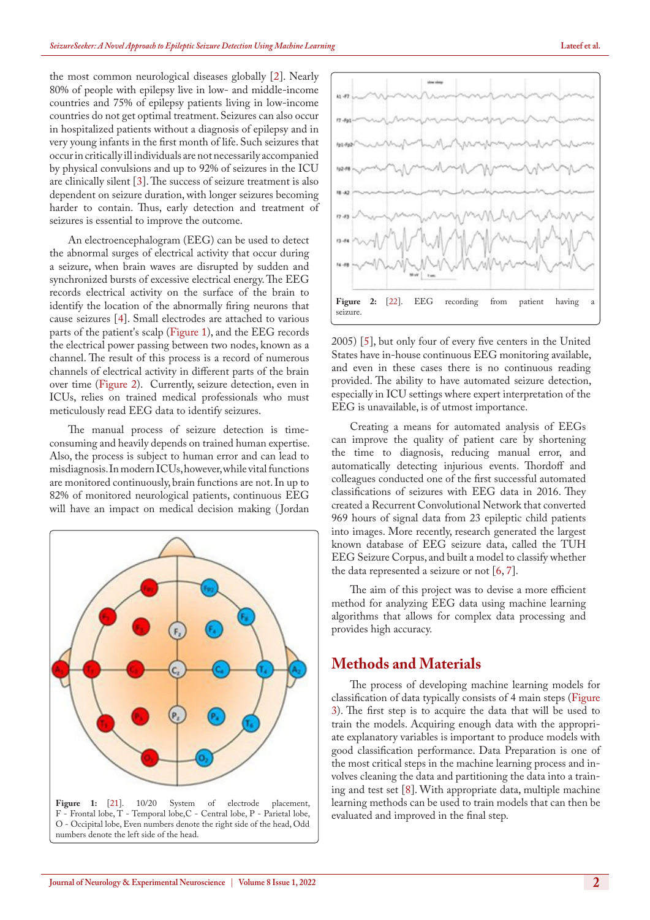the most common neurological diseases globally [[2\]](#page-6-0). Nearly 80% of people with epilepsy live in low- and middle-income countries and 75% of epilepsy patients living in low-income countries do not get optimal treatment. Seizures can also occur in hospitalized patients without a diagnosis of epilepsy and in very young infants in the first month of life. Such seizures that occur in critically ill individuals are not necessarily accompanied by physical convulsions and up to 92% of seizures in the ICU are clinically silent [\[3](#page-7-0)]. The success of seizure treatment is also dependent on seizure duration, with longer seizures becoming harder to contain. Thus, early detection and treatment of seizures is essential to improve the outcome.

An electroencephalogram (EEG) can be used to detect the abnormal surges of electrical activity that occur during a seizure, when brain waves are disrupted by sudden and synchronized bursts of excessive electrical energy. The EEG records electrical activity on the surface of the brain to identify the location of the abnormally firing neurons that cause seizures [\[4](#page-7-1)]. Small electrodes are attached to various parts of the patient's scalp ([Figure 1\)](#page-1-0), and the EEG records the electrical power passing between two nodes, known as a channel. The result of this process is a record of numerous channels of electrical activity in different parts of the brain over time ([Figure 2](#page-1-1)). Currently, seizure detection, even in ICUs, relies on trained medical professionals who must meticulously read EEG data to identify seizures.

The manual process of seizure detection is timeconsuming and heavily depends on trained human expertise. Also, the process is subject to human error and can lead to misdiagnosis. In modern ICUs, however, while vital functions are monitored continuously, brain functions are not. In up to 82% of monitored neurological patients, continuous EEG will have an impact on medical decision making ( Jordan



<span id="page-1-0"></span>



<span id="page-1-1"></span>2005) [\[5](#page-7-2)], but only four of every five centers in the United States have in-house continuous EEG monitoring available, and even in these cases there is no continuous reading provided. The ability to have automated seizure detection, especially in ICU settings where expert interpretation of the EEG is unavailable, is of utmost importance.

Creating a means for automated analysis of EEGs can improve the quality of patient care by shortening the time to diagnosis, reducing manual error, and automatically detecting injurious events. Thordoff and colleagues conducted one of the first successful automated classifications of seizures with EEG data in 2016. They created a Recurrent Convolutional Network that converted 969 hours of signal data from 23 epileptic child patients into images. More recently, research generated the largest known database of EEG seizure data, called the TUH EEG Seizure Corpus, and built a model to classify whether the data represented a seizure or not  $[6, 7]$  $[6, 7]$ .

The aim of this project was to devise a more efficient method for analyzing EEG data using machine learning algorithms that allows for complex data processing and provides high accuracy.

### **Methods and Materials**

The process of developing machine learning models for classification of data typically consists of 4 main steps ([Figure](#page-2-0)  [3\)](#page-2-0). The first step is to acquire the data that will be used to train the models. Acquiring enough data with the appropriate explanatory variables is important to produce models with good classification performance. Data Preparation is one of the most critical steps in the machine learning process and involves cleaning the data and partitioning the data into a training and test set [8]. With appropriate data, multiple machine learning methods can be used to train models that can then be evaluated and improved in the final step.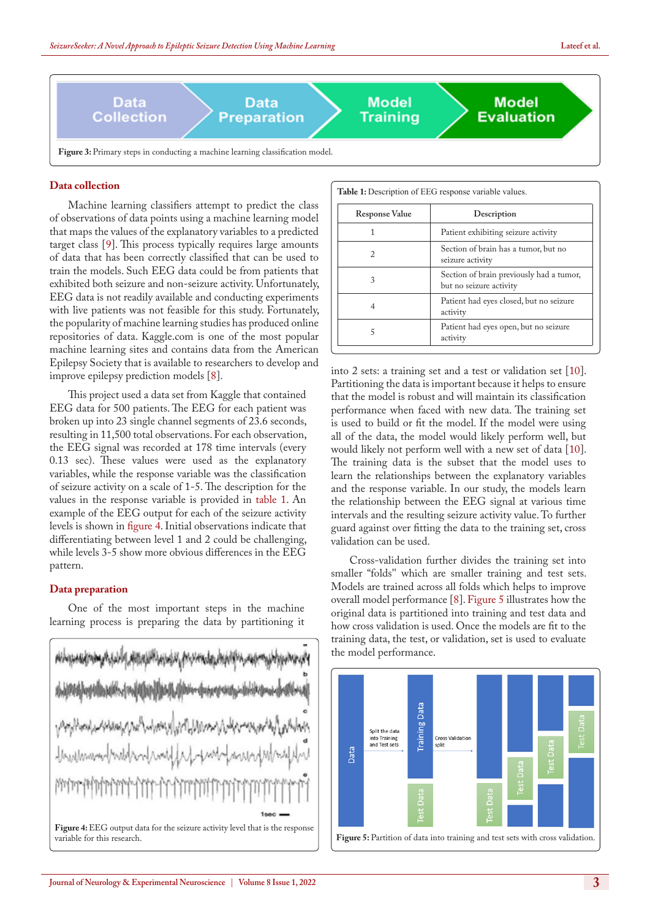

### <span id="page-2-0"></span>**Data collection**

Machine learning classifiers attempt to predict the class of observations of data points using a machine learning model that maps the values of the explanatory variables to a predicted target class [[9\]](#page-7-5). This process typically requires large amounts of data that has been correctly classified that can be used to train the models. Such EEG data could be from patients that exhibited both seizure and non-seizure activity. Unfortunately, EEG data is not readily available and conducting experiments with live patients was not feasible for this study. Fortunately, the popularity of machine learning studies has produced online repositories of data. Kaggle.com is one of the most popular machine learning sites and contains data from the American Epilepsy Society that is available to researchers to develop and improve epilepsy prediction models [8].

This project used a data set from Kaggle that contained EEG data for 500 patients. The EEG for each patient was broken up into 23 single channel segments of 23.6 seconds, resulting in 11,500 total observations. For each observation, the EEG signal was recorded at 178 time intervals (every 0.13 sec). These values were used as the explanatory variables, while the response variable was the classification of seizure activity on a scale of 1-5. The description for the values in the response variable is provided in table 1. An example of the EEG output for each of the seizure activity levels is shown in [figure 4](#page-2-1). Initial observations indicate that differentiating between level 1 and 2 could be challenging, while levels 3-5 show more obvious differences in the EEG pattern.

### **Data preparation**

One of the most important steps in the machine learning process is preparing the data by partitioning it

<span id="page-2-1"></span>

|                       | Table 1: Description of EEG response variable values.               |
|-----------------------|---------------------------------------------------------------------|
| <b>Response Value</b> | Description                                                         |
| 1                     | Patient exhibiting seizure activity                                 |
| 2                     | Section of brain has a tumor, but no<br>seizure activity            |
| 3                     | Section of brain previously had a tumor,<br>but no seizure activity |
| 4                     | Patient had eyes closed, but no seizure<br>activity                 |
| 5                     | Patient had eyes open, but no seizure<br>activity                   |

into 2 sets: a training set and a test or validation set [\[10](#page-7-6)]. Partitioning the data is important because it helps to ensure that the model is robust and will maintain its classification performance when faced with new data. The training set is used to build or fit the model. If the model were using all of the data, the model would likely perform well, but would likely not perform well with a new set of data [\[10](#page-7-6)]. The training data is the subset that the model uses to learn the relationships between the explanatory variables and the response variable. In our study, the models learn the relationship between the EEG signal at various time intervals and the resulting seizure activity value. To further guard against over fitting the data to the training set, cross validation can be used.

Cross-validation further divides the training set into smaller "folds'' which are smaller training and test sets. Models are trained across all folds which helps to improve overall model performance [8]. [Figure 5](#page-2-2) illustrates how the original data is partitioned into training and test data and how cross validation is used. Once the models are fit to the training data, the test, or validation, set is used to evaluate the model performance.

<span id="page-2-2"></span>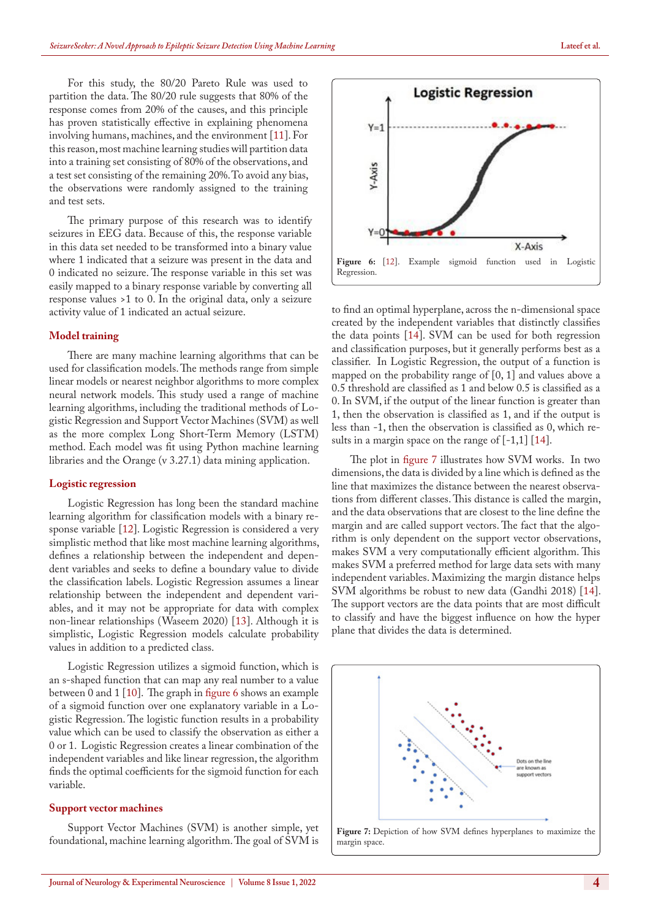For this study, the 80/20 Pareto Rule was used to partition the data. The 80/20 rule suggests that 80% of the response comes from 20% of the causes, and this principle has proven statistically effective in explaining phenomena involving humans, machines, and the environment [11]. For this reason, most machine learning studies will partition data into a training set consisting of 80% of the observations, and a test set consisting of the remaining 20%. To avoid any bias, the observations were randomly assigned to the training and test sets.

The primary purpose of this research was to identify seizures in EEG data. Because of this, the response variable in this data set needed to be transformed into a binary value where 1 indicated that a seizure was present in the data and 0 indicated no seizure. The response variable in this set was easily mapped to a binary response variable by converting all response values >1 to 0. In the original data, only a seizure activity value of 1 indicated an actual seizure.

#### **Model training**

There are many machine learning algorithms that can be used for classification models. The methods range from simple linear models or nearest neighbor algorithms to more complex neural network models. This study used a range of machine learning algorithms, including the traditional methods of Logistic Regression and Support Vector Machines (SVM) as well as the more complex Long Short-Term Memory (LSTM) method. Each model was fit using Python machine learning libraries and the Orange (v 3.27.1) data mining application.

#### **Logistic regression**

Logistic Regression has long been the standard machine learning algorithm for classification models with a binary response variable [12]. Logistic Regression is considered a very simplistic method that like most machine learning algorithms, defines a relationship between the independent and dependent variables and seeks to define a boundary value to divide the classification labels. Logistic Regression assumes a linear relationship between the independent and dependent variables, and it may not be appropriate for data with complex non-linear relationships (Waseem 2020) [13]. Although it is simplistic, Logistic Regression models calculate probability values in addition to a predicted class.

Logistic Regression utilizes a sigmoid function, which is an s-shaped function that can map any real number to a value between 0 and 1 [[10\]](#page-7-6). The graph in [figure 6](#page-3-0) shows an example of a sigmoid function over one explanatory variable in a Logistic Regression. The logistic function results in a probability value which can be used to classify the observation as either a 0 or 1. Logistic Regression creates a linear combination of the independent variables and like linear regression, the algorithm finds the optimal coefficients for the sigmoid function for each variable.

#### **Support vector machines**

Support Vector Machines (SVM) is another simple, yet foundational, machine learning algorithm. The goal of SVM is



<span id="page-3-0"></span>to find an optimal hyperplane, across the n-dimensional space created by the independent variables that distinctly classifies the data points [[14\]](#page-7-7). SVM can be used for both regression and classification purposes, but it generally performs best as a classifier. In Logistic Regression, the output of a function is mapped on the probability range of [0, 1] and values above a 0.5 threshold are classified as 1 and below 0.5 is classified as a 0. In SVM, if the output of the linear function is greater than 1, then the observation is classified as 1, and if the output is less than -1, then the observation is classified as 0, which results in a margin space on the range of  $[-1,1]$  [[14\]](#page-7-7).

The plot in [figure 7](#page-3-1) illustrates how SVM works. In two dimensions, the data is divided by a line which is defined as the line that maximizes the distance between the nearest observations from different classes. This distance is called the margin, and the data observations that are closest to the line define the margin and are called support vectors. The fact that the algorithm is only dependent on the support vector observations, makes SVM a very computationally efficient algorithm. This makes SVM a preferred method for large data sets with many independent variables. Maximizing the margin distance helps SVM algorithms be robust to new data (Gandhi 2018) [14]. The support vectors are the data points that are most difficult to classify and have the biggest influence on how the hyper plane that divides the data is determined.

<span id="page-3-1"></span>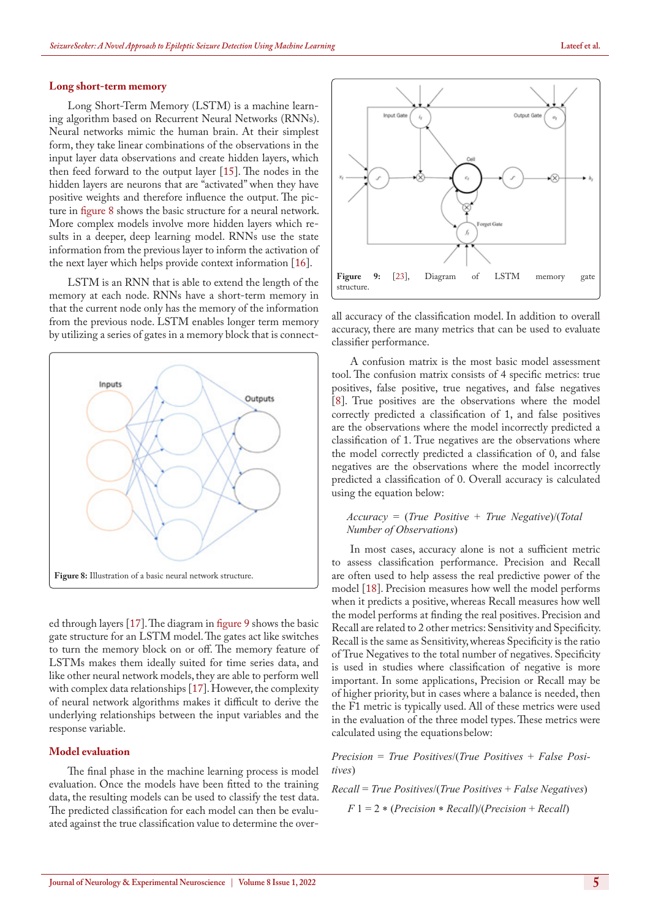#### **Long short-term memory**

Long Short-Term Memory (LSTM) is a machine learning algorithm based on Recurrent Neural Networks (RNNs). Neural networks mimic the human brain. At their simplest form, they take linear combinations of the observations in the input layer data observations and create hidden layers, which then feed forward to the output layer [[15\]](#page-7-8). The nodes in the hidden layers are neurons that are "activated" when they have positive weights and therefore influence the output. The picture in [figure 8](#page-4-0) shows the basic structure for a neural network. More complex models involve more hidden layers which results in a deeper, deep learning model. RNNs use the state information from the previous layer to inform the activation of the next layer which helps provide context information [\[16](#page-7-9)].

LSTM is an RNN that is able to extend the length of the memory at each node. RNNs have a short-term memory in that the current node only has the memory of the information from the previous node. LSTM enables longer term memory by utilizing a series of gates in a memory block that is connect-



<span id="page-4-0"></span>ed through layers [[17\]](#page-7-10). The diagram in [figure 9](#page-4-1) shows the basic gate structure for an LSTM model. The gates act like switches to turn the memory block on or off. The memory feature of LSTMs makes them ideally suited for time series data, and like other neural network models, they are able to perform well with complex data relationships [\[17](#page-7-10)]. However, the complexity of neural network algorithms makes it difficult to derive the underlying relationships between the input variables and the response variable.

### **Model evaluation**

The final phase in the machine learning process is model evaluation. Once the models have been fitted to the training data, the resulting models can be used to classify the test data. The predicted classification for each model can then be evaluated against the true classification value to determine the over-



<span id="page-4-1"></span>all accuracy of the classification model. In addition to overall accuracy, there are many metrics that can be used to evaluate classifier performance.

A confusion matrix is the most basic model assessment tool. The confusion matrix consists of 4 specific metrics: true positives, false positive, true negatives, and false negatives [8]. True positives are the observations where the model correctly predicted a classification of 1, and false positives are the observations where the model incorrectly predicted a classification of 1. True negatives are the observations where the model correctly predicted a classification of 0, and false negatives are the observations where the model incorrectly predicted a classification of 0. Overall accuracy is calculated using the equation below:

#### *Accuracy* = (*True Positive* + *True Negative*)/(*Total Number of Observations*)

In most cases, accuracy alone is not a sufficient metric to assess classification performance. Precision and Recall are often used to help assess the real predictive power of the model [18]. Precision measures how well the model performs when it predicts a positive, whereas Recall measures how well the model performs at finding the real positives. Precision and Recall are related to 2 other metrics: Sensitivity and Specificity. Recall is the same as Sensitivity, whereas Specificity is the ratio of True Negatives to the total number of negatives. Specificity is used in studies where classification of negative is more important. In some applications, Precision or Recall may be of higher priority, but in cases where a balance is needed, then the F1 metric is typically used. All of these metrics were used in the evaluation of the three model types. These metrics were calculated using the equations below:

*Precision* = *True Positives*/(*True Positives* + *False Positives*)

# *Recall* = *True Positives*/(*True Positives* + *False Negatives*) *F* 1 = 2 \* (*Precision* \* *Recall*)/(*Precision* + *Recall*)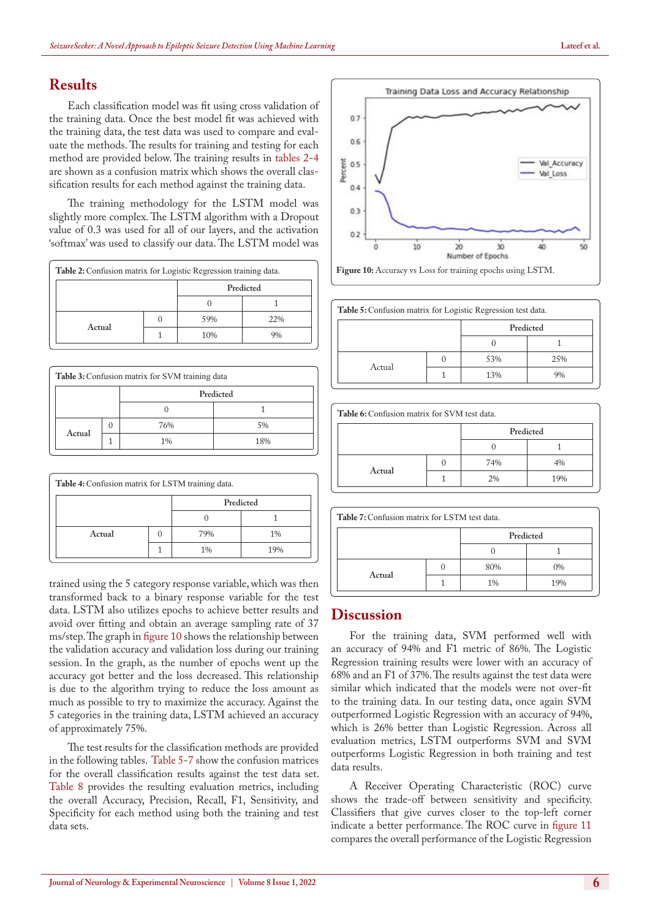# **Results**

Each classification model was fit using cross validation of the training data. Once the best model fit was achieved with the training data, the test data was used to compare and evaluate the methods. The results for training and testing for each method are provided below. The training results in tables 2-[4](#page-2-1) are shown as a confusion matrix which shows the overall classification results for each method against the training data.

The training methodology for the LSTM model was slightly more complex. The LSTM algorithm with a Dropout value of 0.3 was used for all of our layers, and the activation 'softmax' was used to classify our data. The LSTM model was

| Table 2: Confusion matrix for Logistic Regression training data. |           |     |
|------------------------------------------------------------------|-----------|-----|
|                                                                  | Predicted |     |
|                                                                  |           |     |
| Actual                                                           | 59%       | 22% |
|                                                                  | 10%       |     |

|        | Table 3: Confusion matrix for SVM training data |           |
|--------|-------------------------------------------------|-----------|
|        |                                                 | Predicted |
|        |                                                 |           |
| Actual | 76%                                             | 5%        |
|        | $1\%$                                           | 18%       |

| Table 4: Confusion matrix for LSTM training data. |  |     |           |  |
|---------------------------------------------------|--|-----|-----------|--|
|                                                   |  |     | Predicted |  |
|                                                   |  |     |           |  |
| Actual                                            |  | 79% | $1\%$     |  |
|                                                   |  | 1%  | 19%       |  |

trained using the 5 category response variable, which was then transformed back to a binary response variable for the test data. LSTM also utilizes epochs to achieve better results and avoid over fitting and obtain an average sampling rate of 37 ms/step. The graph in [figure 10](#page-5-0) shows the relationship between the validation accuracy and validation loss during our training session. In the graph, as the number of epochs went up the accuracy got better and the loss decreased. This relationship is due to the algorithm trying to reduce the loss amount as much as possible to try to maximize the accuracy. Against the 5 categories in the training data, LSTM achieved an accuracy of approximately 75%.

The test results for the classification methods are provided in the following tables. Table 5-7 show the confusion matrices for the overall classification results against the test data set. Table 8 provides the resulting evaluation metrics, including the overall Accuracy, Precision, Recall, F1, Sensitivity, and Specificity for each method using both the training and test data sets.



<span id="page-5-0"></span>Figure 10: Accuracy vs Loss for training epochs using LSTM.

| Table 5: Confusion matrix for Logistic Regression test data. |  |           |     |  |
|--------------------------------------------------------------|--|-----------|-----|--|
|                                                              |  | Predicted |     |  |
|                                                              |  |           |     |  |
| Actual                                                       |  | 53%       | 25% |  |
|                                                              |  | 13%       |     |  |

| Table 6: Confusion matrix for SVM test data. |  |           |     |  |
|----------------------------------------------|--|-----------|-----|--|
|                                              |  | Predicted |     |  |
|                                              |  |           |     |  |
|                                              |  | 74%       | 4%  |  |
| Actual                                       |  | 2%        | 19% |  |

| Table 7: Confusion matrix for LSTM test data. |  |           |       |  |
|-----------------------------------------------|--|-----------|-------|--|
|                                               |  | Predicted |       |  |
|                                               |  |           |       |  |
| Actual                                        |  | 80%       | $0\%$ |  |
|                                               |  | $1\%$     | 19%   |  |

### **Discussion**

For the training data, SVM performed well with an accuracy of 94% and F1 metric of 86%. The Logistic Regression training results were lower with an accuracy of 68% and an F1 of 37%. The results against the test data were similar which indicated that the models were not over-fit to the training data. In our testing data, once again SVM outperformed Logistic Regression with an accuracy of 94%, which is 26% better than Logistic Regression. Across all evaluation metrics, LSTM outperforms SVM and SVM outperforms Logistic Regression in both training and test data results.

A Receiver Operating Characteristic (ROC) curve shows the trade-off between sensitivity and specificity. Classifiers that give curves closer to the top-left corner indicate a better performance. The ROC curve in [figure 11](#page-6-1) compares the overall performance of the Logistic Regression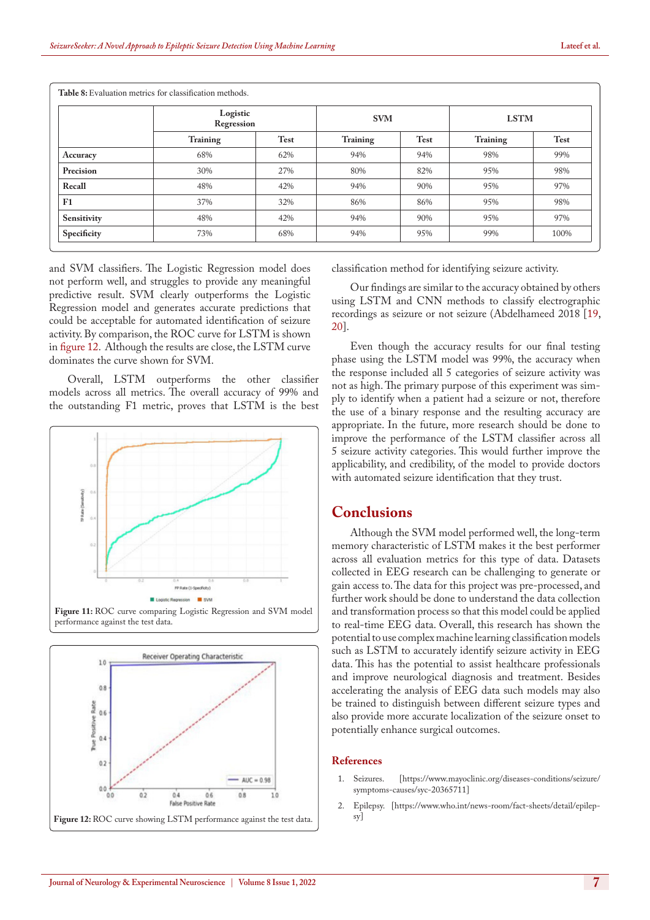|             | Logistic<br>Regression |             | <b>SVM</b> |             | <b>LSTM</b>     |             |
|-------------|------------------------|-------------|------------|-------------|-----------------|-------------|
|             | Training               | <b>Test</b> | Training   | <b>Test</b> | <b>Training</b> | <b>Test</b> |
| Accuracy    | 68%                    | 62%         | 94%        | 94%         | 98%             | 99%         |
| Precision   | 30%                    | 27%         | 80%        | 82%         | 95%             | 98%         |
| Recall      | 48%                    | 42%         | 94%        | 90%         | 95%             | 97%         |
| F1          | 37%                    | 32%         | 86%        | 86%         | 95%             | 98%         |
| Sensitivity | 48%                    | 42%         | 94%        | 90%         | 95%             | 97%         |
| Specificity | 73%                    | 68%         | 94%        | 95%         | 99%             | 100%        |

**Table 8:** Evaluation metrics for classification methods.

and SVM classifiers. The Logistic Regression model does not perform well, and struggles to provide any meaningful predictive result. SVM clearly outperforms the Logistic Regression model and generates accurate predictions that could be acceptable for automated identification of seizure activity. By comparison, the ROC curve for LSTM is shown in [figure 12](#page-6-2). Although the results are close, the LSTM curve dominates the curve shown for SVM.

Overall, LSTM outperforms the other classifier models across all metrics. The overall accuracy of 99% and the outstanding F1 metric, proves that LSTM is the best



<span id="page-6-2"></span><span id="page-6-1"></span>

classification method for identifying seizure activity.

Our findings are similar to the accuracy obtained by others using LSTM and CNN methods to classify electrographic recordings as seizure or not seizure (Abdelhameed 2018 [\[19](#page-7-11), 20].

Even though the accuracy results for our final testing phase using the LSTM model was 99%, the accuracy when the response included all 5 categories of seizure activity was not as high. The primary purpose of this experiment was simply to identify when a patient had a seizure or not, therefore the use of a binary response and the resulting accuracy are appropriate. In the future, more research should be done to improve the performance of the LSTM classifier across all 5 seizure activity categories. This would further improve the applicability, and credibility, of the model to provide doctors with automated seizure identification that they trust.

### **Conclusions**

Although the SVM model performed well, the long-term memory characteristic of LSTM makes it the best performer across all evaluation metrics for this type of data. Datasets collected in EEG research can be challenging to generate or gain access to. The data for this project was pre-processed, and further work should be done to understand the data collection and transformation process so that this model could be applied to real-time EEG data. Overall, this research has shown the potential to use complex machine learning classification models such as LSTM to accurately identify seizure activity in EEG data. This has the potential to assist healthcare professionals and improve neurological diagnosis and treatment. Besides accelerating the analysis of EEG data such models may also be trained to distinguish between different seizure types and also provide more accurate localization of the seizure onset to potentially enhance surgical outcomes.

#### **References**

- 1. Seizures. [[https://www.mayoclinic.org/diseases-conditions/seizure/](https://www.mayoclinic.org/diseases-conditions/seizure/symptoms-causes/syc-20365711) [symptoms-causes/syc-20365711](https://www.mayoclinic.org/diseases-conditions/seizure/symptoms-causes/syc-20365711)]
- <span id="page-6-0"></span>2. Epilepsy. [\[https://www.who.int/news-room/fact-sheets/detail/epilep-](https://www.who.int/news-room/fact-sheets/detail/epilepsy)